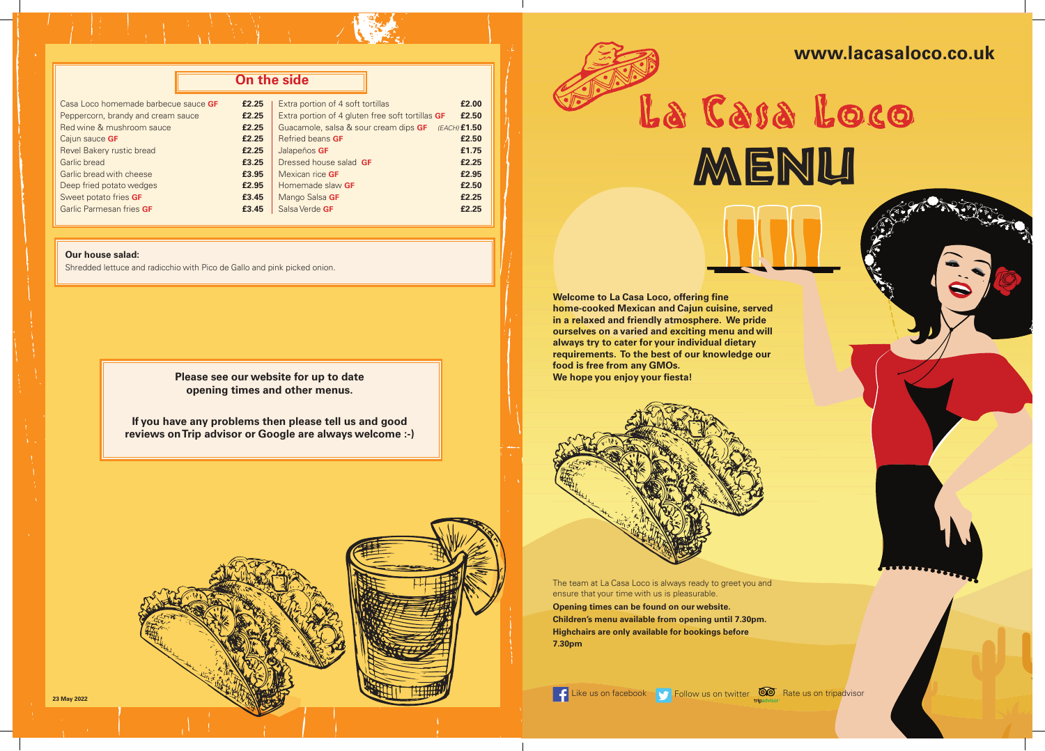# **www.lacasaloco.co.uk**



Es tiempo **Please see our website for up to date<br>opening times and other menus.<br> opening times and other menus.** 

| On the side                          |       |                                                    |       |
|--------------------------------------|-------|----------------------------------------------------|-------|
| Casa Loco homemade barbecue sauce GF | £2.25 | Extra portion of 4 soft tortillas                  | £2.00 |
| Peppercorn, brandy and cream sauce   | £2.25 | Extra portion of 4 gluten free soft tortillas GF   | £2.50 |
| Red wine & mushroom sauce            | £2.25 | Guacamole, salsa & sour cream dips GF (EACH) £1.50 |       |
| Cajun sauce GF                       | £2.25 | <b>Refried beans GF</b>                            | £2.50 |
| Revel Bakery rustic bread            | £2.25 | Jalapeños GF                                       | £1.75 |
| <b>Garlic bread</b>                  | £3.25 | Dressed house salad GF                             | £2.25 |
| Garlic bread with cheese             | £3.95 | Mexican rice GF                                    | £2.95 |
| Deep fried potato wedges             | £2.95 | Homemade slaw GF                                   | £2.50 |
| Sweet potato fries GF                | £3.45 | Mango Salsa GF                                     | £2.25 |
| Garlic Parmesan fries GF             | £3.45 | Salsa Verde GF                                     | £2.25 |

#### **Our house salad:**

Shredded lettuce and radicchio with Pico de Gallo and pink picked onion.

**If you have any problems then please tell us and good reviews on Trip advisor or Google are always welcome :-)** 





**23 May 2022**